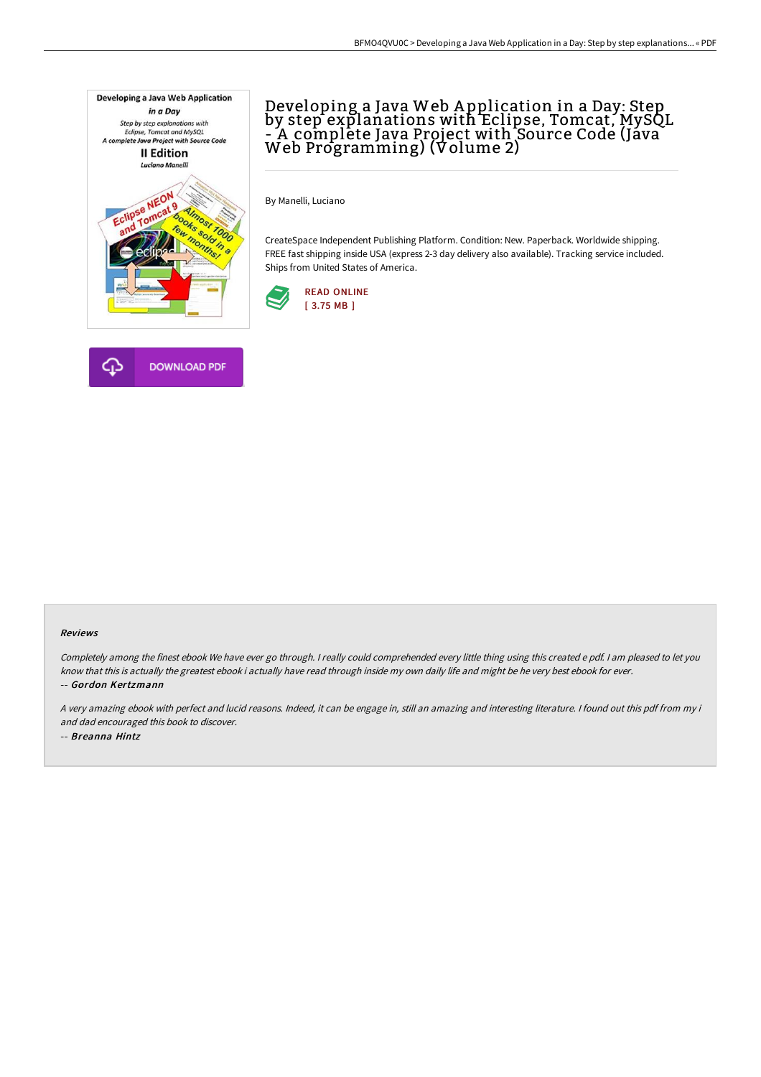

# Developing a Java Web A pplication in a Day: Step by step explanations with Eclipse, Tomcat, MySQL - A complete Java Project with Source Code (Java Web Programming) (Volume 2)

By Manelli, Luciano

CreateSpace Independent Publishing Platform. Condition: New. Paperback. Worldwide shipping. FREE fast shipping inside USA (express 2-3 day delivery also available). Tracking service included. Ships from United States of America.





#### Reviews

Completely among the finest ebook We have ever go through. <sup>I</sup> really could comprehended every little thing using this created <sup>e</sup> pdf. <sup>I</sup> am pleased to let you know that this is actually the greatest ebook i actually have read through inside my own daily life and might be he very best ebook for ever. -- Gordon Kertzmann

<sup>A</sup> very amazing ebook with perfect and lucid reasons. Indeed, it can be engage in, still an amazing and interesting literature. <sup>I</sup> found out this pdf from my i and dad encouraged this book to discover. -- Breanna Hintz